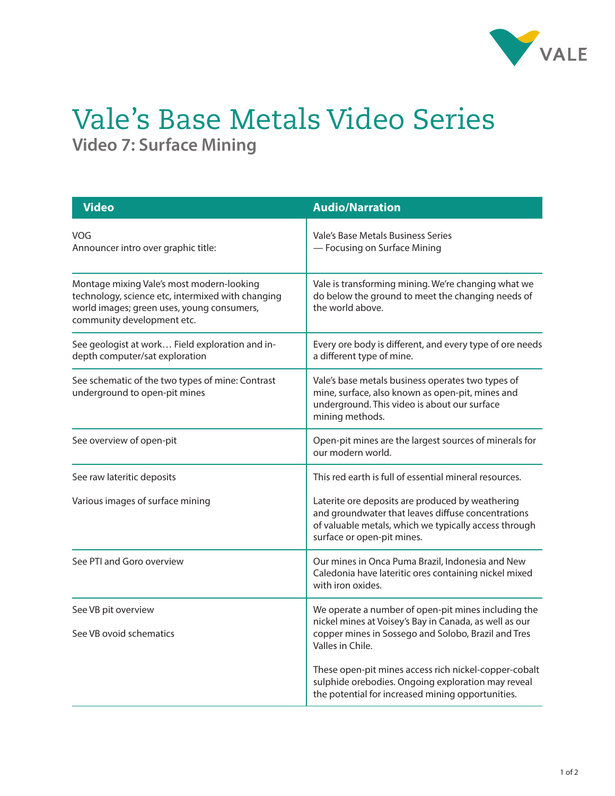

## Vale's Base Metals Video Series **Video 7: Surface Mining**

| <b>Video</b>                                                                                                                                                               | <b>Audio/Narration</b>                                                                                                                                                                        |
|----------------------------------------------------------------------------------------------------------------------------------------------------------------------------|-----------------------------------------------------------------------------------------------------------------------------------------------------------------------------------------------|
| <b>VOG</b><br>Announcer intro over graphic title:                                                                                                                          | Vale's Base Metals Business Series<br>- Focusing on Surface Mining                                                                                                                            |
| Montage mixing Vale's most modern-looking<br>technology, science etc, intermixed with changing<br>world images; green uses, young consumers,<br>community development etc. | Vale is transforming mining. We're changing what we<br>do below the ground to meet the changing needs of<br>the world above.                                                                  |
| See geologist at work Field exploration and in-<br>depth computer/sat exploration                                                                                          | Every ore body is different, and every type of ore needs<br>a different type of mine.                                                                                                         |
| See schematic of the two types of mine: Contrast<br>underground to open-pit mines                                                                                          | Vale's base metals business operates two types of<br>mine, surface, also known as open-pit, mines and<br>underground. This video is about our surface<br>mining methods.                      |
| See overview of open-pit                                                                                                                                                   | Open-pit mines are the largest sources of minerals for<br>our modern world.                                                                                                                   |
| See raw lateritic deposits                                                                                                                                                 | This red earth is full of essential mineral resources.                                                                                                                                        |
| Various images of surface mining                                                                                                                                           | Laterite ore deposits are produced by weathering<br>and groundwater that leaves diffuse concentrations<br>of valuable metals, which we typically access through<br>surface or open-pit mines. |
| See PTI and Goro overview                                                                                                                                                  | Our mines in Onca Puma Brazil, Indonesia and New<br>Caledonia have lateritic ores containing nickel mixed<br>with iron oxides.                                                                |
| See VB pit overview<br>See VB ovoid schematics                                                                                                                             | We operate a number of open-pit mines including the<br>nickel mines at Voisey's Bay in Canada, as well as our<br>copper mines in Sossego and Solobo, Brazil and Tres<br>Valles in Chile.      |
|                                                                                                                                                                            | These open-pit mines access rich nickel-copper-cobalt<br>sulphide orebodies. Ongoing exploration may reveal<br>the potential for increased mining opportunities.                              |